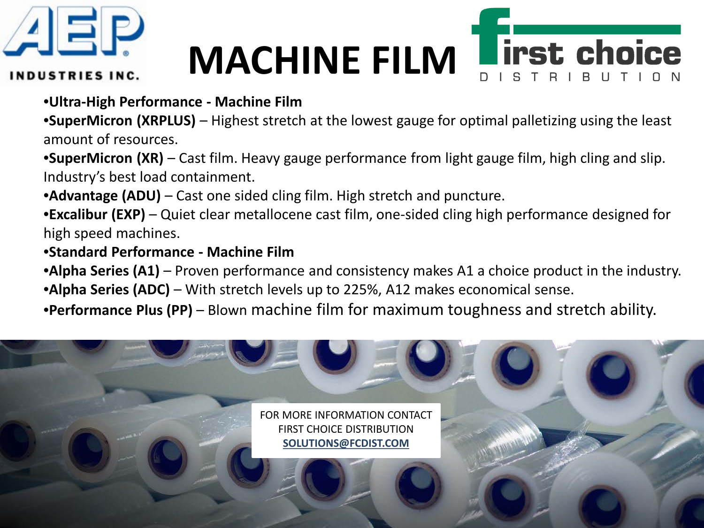

# **MACHINE FILM**



**INDUSTRIES INC.** 

### •**Ultra-High Performance - Machine Film**

•**SuperMicron (XRPLUS)** – Highest stretch at the lowest gauge for optimal palletizing using the least amount of resources.

•**SuperMicron (XR)** – Cast film. Heavy gauge performance from light gauge film, high cling and slip. Industry's best load containment.

•**Advantage (ADU)** – Cast one sided cling film. High stretch and puncture.

•**Excalibur (EXP)** – Quiet clear metallocene cast film, one-sided cling high performance designed for high speed machines.

#### •**Standard Performance - Machine Film**

•**Alpha Series (A1)** – Proven performance and consistency makes A1 a choice product in the industry.

- •**Alpha Series (ADC)** With stretch levels up to 225%, A12 makes economical sense.
- •**Performance Plus (PP)** Blown machine film for maximum toughness and stretch ability.